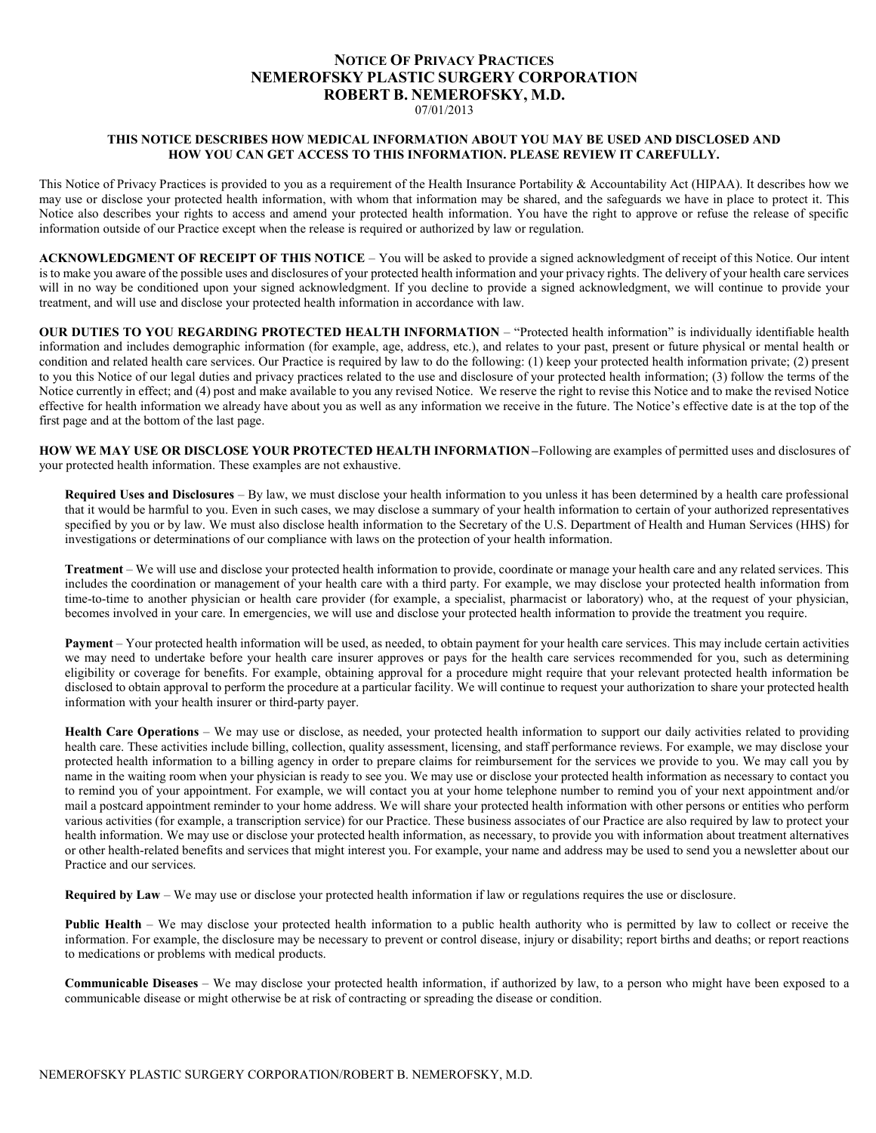## NOTICE OF PRIVACY PRACTICES NEMEROFSKY PLASTIC SURGERY CORPORATION ROBERT B. NEMEROFSKY, M.D.

07/01/2013

#### THIS NOTICE DESCRIBES HOW MEDICAL INFORMATION ABOUT YOU MAY BE USED AND DISCLOSED AND HOW YOU CAN GET ACCESS TO THIS INFORMATION. PLEASE REVIEW IT CAREFULLY.

This Notice of Privacy Practices is provided to you as a requirement of the Health Insurance Portability & Accountability Act (HIPAA). It describes how we may use or disclose your protected health information, with whom that information may be shared, and the safeguards we have in place to protect it. This Notice also describes your rights to access and amend your protected health information. You have the right to approve or refuse the release of specific information outside of our Practice except when the release is required or authorized by law or regulation.

ACKNOWLEDGMENT OF RECEIPT OF THIS NOTICE – You will be asked to provide a signed acknowledgment of receipt of this Notice. Our intent is to make you aware of the possible uses and disclosures of your protected health information and your privacy rights. The delivery of your health care services will in no way be conditioned upon your signed acknowledgment. If you decline to provide a signed acknowledgment, we will continue to provide your treatment, and will use and disclose your protected health information in accordance with law.

OUR DUTIES TO YOU REGARDING PROTECTED HEALTH INFORMATION – "Protected health information" is individually identifiable health information and includes demographic information (for example, age, address, etc.), and relates to your past, present or future physical or mental health or condition and related health care services. Our Practice is required by law to do the following: (1) keep your protected health information private; (2) present to you this Notice of our legal duties and privacy practices related to the use and disclosure of your protected health information; (3) follow the terms of the Notice currently in effect; and (4) post and make available to you any revised Notice. We reserve the right to revise this Notice and to make the revised Notice effective for health information we already have about you as well as any information we receive in the future. The Notice's effective date is at the top of the first page and at the bottom of the last page.

HOW WE MAY USE OR DISCLOSE YOUR PROTECTED HEALTH INFORMATION – Following are examples of permitted uses and disclosures of your protected health information. These examples are not exhaustive.

Required Uses and Disclosures – By law, we must disclose your health information to you unless it has been determined by a health care professional that it would be harmful to you. Even in such cases, we may disclose a summary of your health information to certain of your authorized representatives specified by you or by law. We must also disclose health information to the Secretary of the U.S. Department of Health and Human Services (HHS) for investigations or determinations of our compliance with laws on the protection of your health information.

Treatment – We will use and disclose your protected health information to provide, coordinate or manage your health care and any related services. This includes the coordination or management of your health care with a third party. For example, we may disclose your protected health information from time-to-time to another physician or health care provider (for example, a specialist, pharmacist or laboratory) who, at the request of your physician, becomes involved in your care. In emergencies, we will use and disclose your protected health information to provide the treatment you require.

Payment – Your protected health information will be used, as needed, to obtain payment for your health care services. This may include certain activities we may need to undertake before your health care insurer approves or pays for the health care services recommended for you, such as determining eligibility or coverage for benefits. For example, obtaining approval for a procedure might require that your relevant protected health information be disclosed to obtain approval to perform the procedure at a particular facility. We will continue to request your authorization to share your protected health information with your health insurer or third-party payer.

Health Care Operations – We may use or disclose, as needed, your protected health information to support our daily activities related to providing health care. These activities include billing, collection, quality assessment, licensing, and staff performance reviews. For example, we may disclose your protected health information to a billing agency in order to prepare claims for reimbursement for the services we provide to you. We may call you by name in the waiting room when your physician is ready to see you. We may use or disclose your protected health information as necessary to contact you to remind you of your appointment. For example, we will contact you at your home telephone number to remind you of your next appointment and/or mail a postcard appointment reminder to your home address. We will share your protected health information with other persons or entities who perform various activities (for example, a transcription service) for our Practice. These business associates of our Practice are also required by law to protect your health information. We may use or disclose your protected health information, as necessary, to provide you with information about treatment alternatives or other health-related benefits and services that might interest you. For example, your name and address may be used to send you a newsletter about our Practice and our services.

Required by Law – We may use or disclose your protected health information if law or regulations requires the use or disclosure.

Public Health – We may disclose your protected health information to a public health authority who is permitted by law to collect or receive the information. For example, the disclosure may be necessary to prevent or control disease, injury or disability; report births and deaths; or report reactions to medications or problems with medical products.

Communicable Diseases – We may disclose your protected health information, if authorized by law, to a person who might have been exposed to a communicable disease or might otherwise be at risk of contracting or spreading the disease or condition.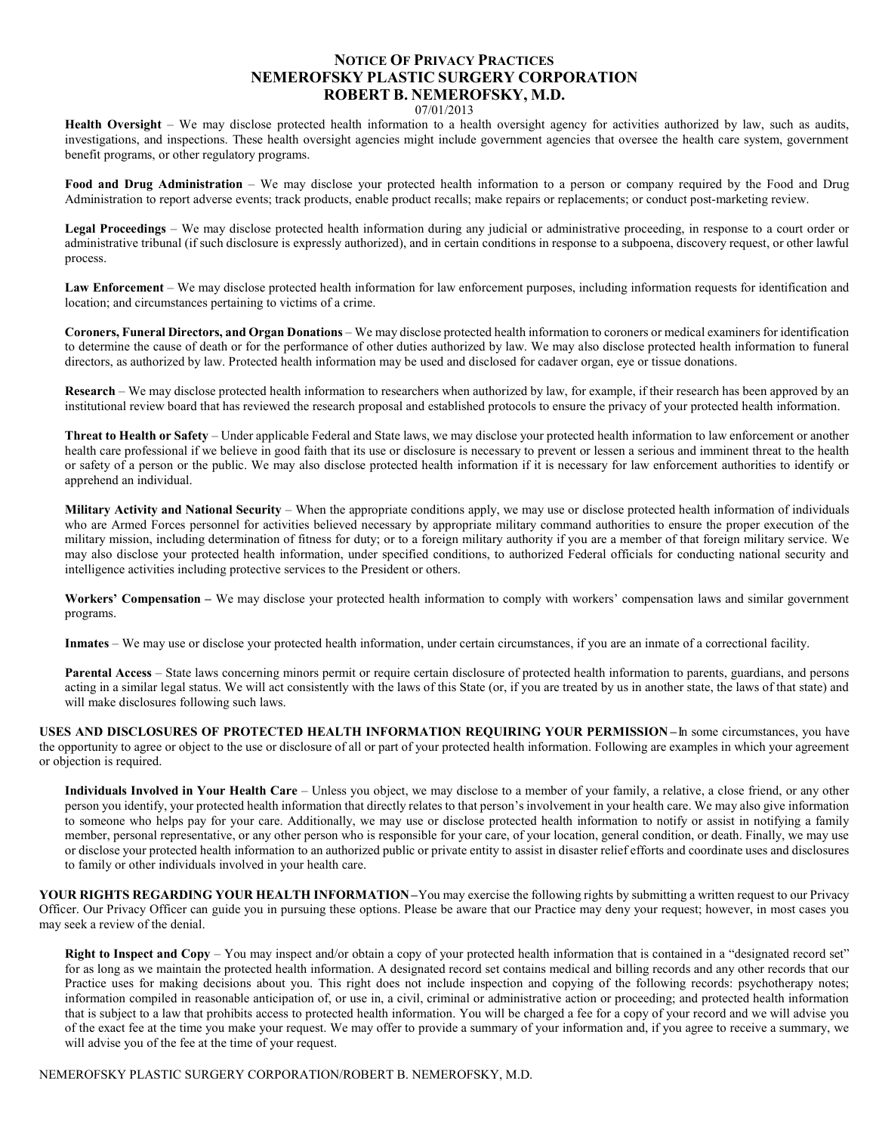### NOTICE OF PRIVACY PRACTICES NEMEROFSKY PLASTIC SURGERY CORPORATION ROBERT B. NEMEROFSKY, M.D.

#### 07/01/2013

Health Oversight – We may disclose protected health information to a health oversight agency for activities authorized by law, such as audits, investigations, and inspections. These health oversight agencies might include government agencies that oversee the health care system, government benefit programs, or other regulatory programs.

Food and Drug Administration – We may disclose your protected health information to a person or company required by the Food and Drug Administration to report adverse events; track products, enable product recalls; make repairs or replacements; or conduct post-marketing review.

Legal Proceedings – We may disclose protected health information during any judicial or administrative proceeding, in response to a court order or administrative tribunal (if such disclosure is expressly authorized), and in certain conditions in response to a subpoena, discovery request, or other lawful process.

Law Enforcement – We may disclose protected health information for law enforcement purposes, including information requests for identification and location; and circumstances pertaining to victims of a crime.

Coroners, Funeral Directors, and Organ Donations – We may disclose protected health information to coroners or medical examiners for identification to determine the cause of death or for the performance of other duties authorized by law. We may also disclose protected health information to funeral directors, as authorized by law. Protected health information may be used and disclosed for cadaver organ, eye or tissue donations.

Research – We may disclose protected health information to researchers when authorized by law, for example, if their research has been approved by an institutional review board that has reviewed the research proposal and established protocols to ensure the privacy of your protected health information.

Threat to Health or Safety – Under applicable Federal and State laws, we may disclose your protected health information to law enforcement or another health care professional if we believe in good faith that its use or disclosure is necessary to prevent or lessen a serious and imminent threat to the health or safety of a person or the public. We may also disclose protected health information if it is necessary for law enforcement authorities to identify or apprehend an individual.

Military Activity and National Security – When the appropriate conditions apply, we may use or disclose protected health information of individuals who are Armed Forces personnel for activities believed necessary by appropriate military command authorities to ensure the proper execution of the military mission, including determination of fitness for duty; or to a foreign military authority if you are a member of that foreign military service. We may also disclose your protected health information, under specified conditions, to authorized Federal officials for conducting national security and intelligence activities including protective services to the President or others.

Workers' Compensation – We may disclose your protected health information to comply with workers' compensation laws and similar government programs.

Inmates – We may use or disclose your protected health information, under certain circumstances, if you are an inmate of a correctional facility.

Parental Access – State laws concerning minors permit or require certain disclosure of protected health information to parents, guardians, and persons acting in a similar legal status. We will act consistently with the laws of this State (or, if you are treated by us in another state, the laws of that state) and will make disclosures following such laws.

USES AND DISCLOSURES OF PROTECTED HEALTH INFORMATION REQUIRING YOUR PERMISSION – In some circumstances, you have the opportunity to agree or object to the use or disclosure of all or part of your protected health information. Following are examples in which your agreement or objection is required.

Individuals Involved in Your Health Care – Unless you object, we may disclose to a member of your family, a relative, a close friend, or any other person you identify, your protected health information that directly relates to that person's involvement in your health care. We may also give information to someone who helps pay for your care. Additionally, we may use or disclose protected health information to notify or assist in notifying a family member, personal representative, or any other person who is responsible for your care, of your location, general condition, or death. Finally, we may use or disclose your protected health information to an authorized public or private entity to assist in disaster relief efforts and coordinate uses and disclosures to family or other individuals involved in your health care.

YOUR RIGHTS REGARDING YOUR HEALTH INFORMATION-You may exercise the following rights by submitting a written request to our Privacy Officer. Our Privacy Officer can guide you in pursuing these options. Please be aware that our Practice may deny your request; however, in most cases you may seek a review of the denial.

Right to Inspect and Copy – You may inspect and/or obtain a copy of your protected health information that is contained in a "designated record set" for as long as we maintain the protected health information. A designated record set contains medical and billing records and any other records that our Practice uses for making decisions about you. This right does not include inspection and copying of the following records: psychotherapy notes; information compiled in reasonable anticipation of, or use in, a civil, criminal or administrative action or proceeding; and protected health information that is subject to a law that prohibits access to protected health information. You will be charged a fee for a copy of your record and we will advise you of the exact fee at the time you make your request. We may offer to provide a summary of your information and, if you agree to receive a summary, we will advise you of the fee at the time of your request.

NEMEROFSKY PLASTIC SURGERY CORPORATION/ROBERT B. NEMEROFSKY, M.D.